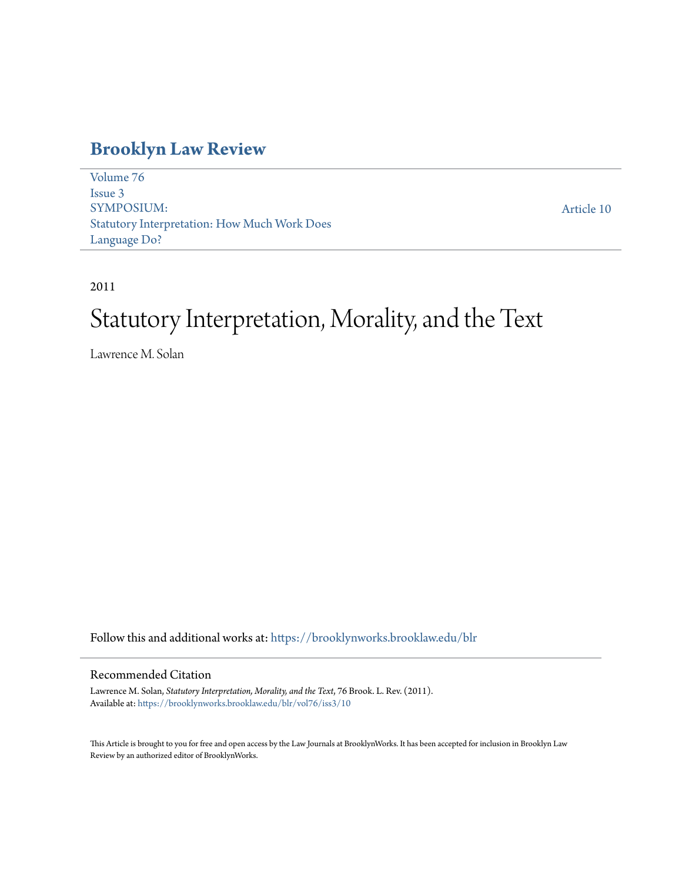### **[Brooklyn Law Review](https://brooklynworks.brooklaw.edu/blr?utm_source=brooklynworks.brooklaw.edu%2Fblr%2Fvol76%2Fiss3%2F10&utm_medium=PDF&utm_campaign=PDFCoverPages)**

[Volume 76](https://brooklynworks.brooklaw.edu/blr/vol76?utm_source=brooklynworks.brooklaw.edu%2Fblr%2Fvol76%2Fiss3%2F10&utm_medium=PDF&utm_campaign=PDFCoverPages) [Issue 3](https://brooklynworks.brooklaw.edu/blr/vol76/iss3?utm_source=brooklynworks.brooklaw.edu%2Fblr%2Fvol76%2Fiss3%2F10&utm_medium=PDF&utm_campaign=PDFCoverPages) SYMPOSIUM: Statutory Interpretation: How Much Work Does Language Do?

[Article 10](https://brooklynworks.brooklaw.edu/blr/vol76/iss3/10?utm_source=brooklynworks.brooklaw.edu%2Fblr%2Fvol76%2Fiss3%2F10&utm_medium=PDF&utm_campaign=PDFCoverPages)

2011

# Statutory Interpretation, Morality, and the Text

Lawrence M. Solan

Follow this and additional works at: [https://brooklynworks.brooklaw.edu/blr](https://brooklynworks.brooklaw.edu/blr?utm_source=brooklynworks.brooklaw.edu%2Fblr%2Fvol76%2Fiss3%2F10&utm_medium=PDF&utm_campaign=PDFCoverPages)

#### Recommended Citation

Lawrence M. Solan, *Statutory Interpretation, Morality, and the Text*, 76 Brook. L. Rev. (2011). Available at: [https://brooklynworks.brooklaw.edu/blr/vol76/iss3/10](https://brooklynworks.brooklaw.edu/blr/vol76/iss3/10?utm_source=brooklynworks.brooklaw.edu%2Fblr%2Fvol76%2Fiss3%2F10&utm_medium=PDF&utm_campaign=PDFCoverPages)

This Article is brought to you for free and open access by the Law Journals at BrooklynWorks. It has been accepted for inclusion in Brooklyn Law Review by an authorized editor of BrooklynWorks.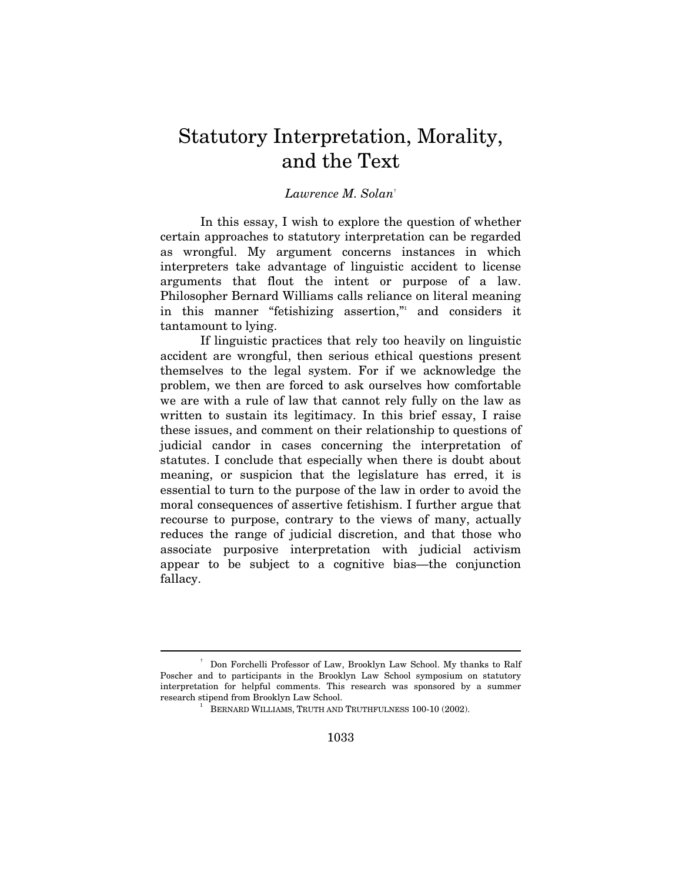## Statutory Interpretation, Morality, and the Text

#### *Lawrence M. Solan*†

In this essay, I wish to explore the question of whether certain approaches to statutory interpretation can be regarded as wrongful. My argument concerns instances in which interpreters take advantage of linguistic accident to license arguments that flout the intent or purpose of a law. Philosopher Bernard Williams calls reliance on literal meaning in this manner "fetishizing assertion," and considers it tantamount to lying.

If linguistic practices that rely too heavily on linguistic accident are wrongful, then serious ethical questions present themselves to the legal system. For if we acknowledge the problem, we then are forced to ask ourselves how comfortable we are with a rule of law that cannot rely fully on the law as written to sustain its legitimacy. In this brief essay, I raise these issues, and comment on their relationship to questions of judicial candor in cases concerning the interpretation of statutes. I conclude that especially when there is doubt about meaning, or suspicion that the legislature has erred, it is essential to turn to the purpose of the law in order to avoid the moral consequences of assertive fetishism. I further argue that recourse to purpose, contrary to the views of many, actually reduces the range of judicial discretion, and that those who associate purposive interpretation with judicial activism appear to be subject to a cognitive bias—the conjunction fallacy.

<sup>†</sup> Don Forchelli Professor of Law, Brooklyn Law School. My thanks to Ralf Poscher and to participants in the Brooklyn Law School symposium on statutory interpretation for helpful comments. This research was sponsored by a summer research stipend from Brooklyn Law School. 1

BERNARD WILLIAMS, TRUTH AND TRUTHFULNESS 100-10 (2002).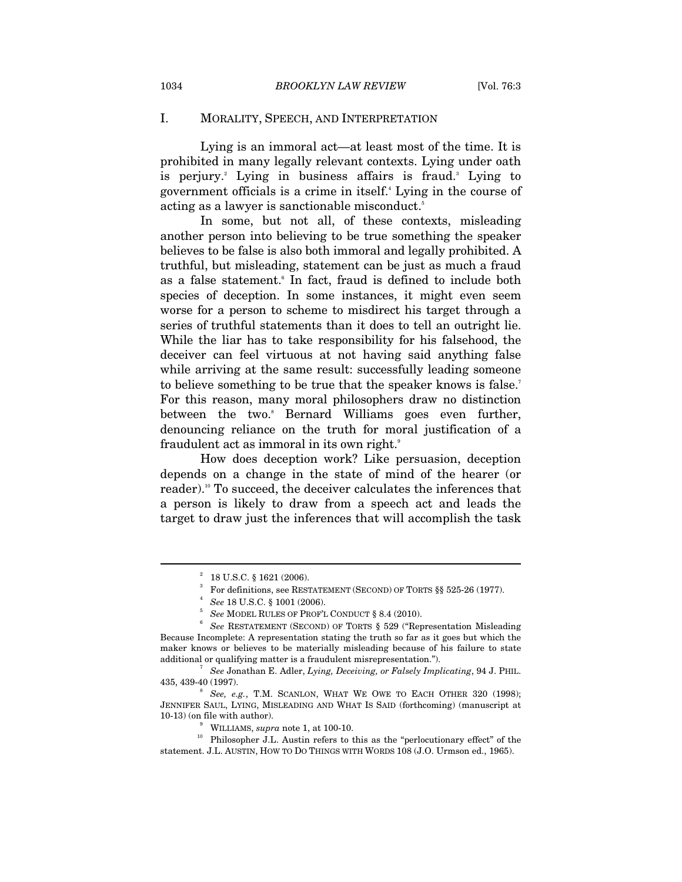#### I. MORALITY, SPEECH, AND INTERPRETATION

Lying is an immoral act—at least most of the time. It is prohibited in many legally relevant contexts. Lying under oath is perjury.<sup>2</sup> Lying in business affairs is fraud.<sup>3</sup> Lying to government officials is a crime in itself.4 Lying in the course of acting as a lawyer is sanctionable misconduct.<sup>5</sup>

In some, but not all, of these contexts, misleading another person into believing to be true something the speaker believes to be false is also both immoral and legally prohibited. A truthful, but misleading, statement can be just as much a fraud as a false statement.<sup>6</sup> In fact, fraud is defined to include both species of deception. In some instances, it might even seem worse for a person to scheme to misdirect his target through a series of truthful statements than it does to tell an outright lie. While the liar has to take responsibility for his falsehood, the deceiver can feel virtuous at not having said anything false while arriving at the same result: successfully leading someone to believe something to be true that the speaker knows is false.<sup>7</sup> For this reason, many moral philosophers draw no distinction between the two.<sup>8</sup> Bernard Williams goes even further, denouncing reliance on the truth for moral justification of a fraudulent act as immoral in its own right.<sup>9</sup>

How does deception work? Like persuasion, deception depends on a change in the state of mind of the hearer (or reader).<sup>10</sup> To succeed, the deceiver calculates the inferences that a person is likely to draw from a speech act and leads the target to draw just the inferences that will accomplish the task

 $2^2$  18 U.S.C. § 1621 (2006).

<sup>3</sup> For definitions, see RESTATEMENT (SECOND) OF TORTS §§ 525-26 (1977).

*See* 18 U.S.C. § 1001 (2006).<br>*See* MODEL RULES OF PROF'L CONDUCT § 8.4 (2010).

*See* RESTATEMENT (SECOND) OF TORTS § 529 ("Representation Misleading Because Incomplete: A representation stating the truth so far as it goes but which the maker knows or believes to be materially misleading because of his failure to state additional or qualifying matter is a fraudulent misrepresentation."). 7 *See* Jonathan E. Adler, *Lying, Deceiving, or Falsely Implicating*, 94 J. PHIL.

<sup>435, 439-40 (1997). 8</sup>

*See, e.g.*, T.M. SCANLON, WHAT WE OWE TO EACH OTHER 320 (1998); JENNIFER SAUL, LYING, MISLEADING AND WHAT IS SAID (forthcoming) (manuscript at 10-13) (on file with author).  $^\circ$  WILLIAMS, supra note 1, at 100-10.

 $^{\rm 10}$  Philosopher J.L. Austin refers to this as the "perlocutionary effect" of the statement. J.L. AUSTIN, HOW TO DO THINGS WITH WORDS 108 (J.O. Urmson ed., 1965).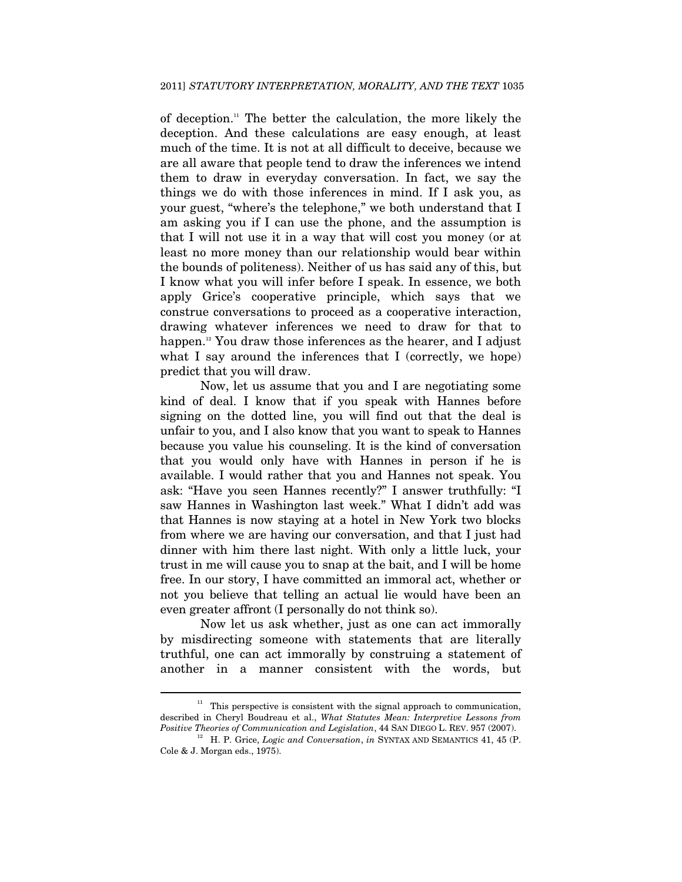of deception.11 The better the calculation, the more likely the deception. And these calculations are easy enough, at least much of the time. It is not at all difficult to deceive, because we are all aware that people tend to draw the inferences we intend them to draw in everyday conversation. In fact, we say the things we do with those inferences in mind. If I ask you, as your guest, "where's the telephone," we both understand that I am asking you if I can use the phone, and the assumption is that I will not use it in a way that will cost you money (or at least no more money than our relationship would bear within the bounds of politeness). Neither of us has said any of this, but I know what you will infer before I speak. In essence, we both apply Grice's cooperative principle, which says that we construe conversations to proceed as a cooperative interaction, drawing whatever inferences we need to draw for that to happen.<sup>12</sup> You draw those inferences as the hearer, and I adjust what I say around the inferences that I (correctly, we hope) predict that you will draw.

Now, let us assume that you and I are negotiating some kind of deal. I know that if you speak with Hannes before signing on the dotted line, you will find out that the deal is unfair to you, and I also know that you want to speak to Hannes because you value his counseling. It is the kind of conversation that you would only have with Hannes in person if he is available. I would rather that you and Hannes not speak. You ask: "Have you seen Hannes recently?" I answer truthfully: "I saw Hannes in Washington last week." What I didn't add was that Hannes is now staying at a hotel in New York two blocks from where we are having our conversation, and that I just had dinner with him there last night. With only a little luck, your trust in me will cause you to snap at the bait, and I will be home free. In our story, I have committed an immoral act, whether or not you believe that telling an actual lie would have been an even greater affront (I personally do not think so).

Now let us ask whether, just as one can act immorally by misdirecting someone with statements that are literally truthful, one can act immorally by construing a statement of another in a manner consistent with the words, but

 $11$  This perspective is consistent with the signal approach to communication, described in Cheryl Boudreau et al., *What Statutes Mean: Interpretive Lessons from* 

<sup>&</sup>lt;sup>12</sup> H. P. Grice, *Logic and Conversation*, *in* SYNTAX AND SEMANTICS 41, 45 (P. Cole & J. Morgan eds., 1975).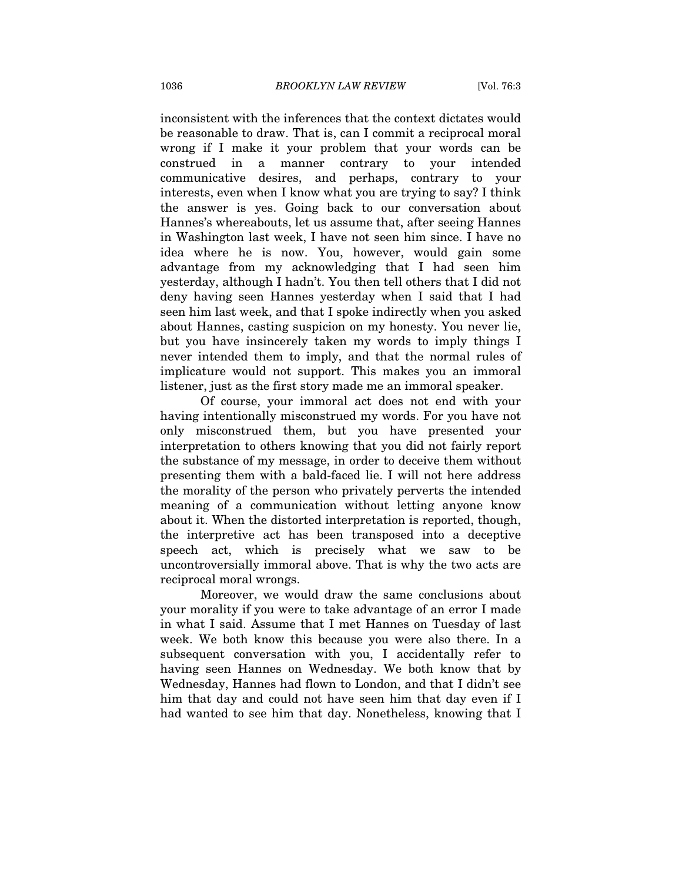inconsistent with the inferences that the context dictates would be reasonable to draw. That is, can I commit a reciprocal moral wrong if I make it your problem that your words can be construed in a manner contrary to your intended communicative desires, and perhaps, contrary to your interests, even when I know what you are trying to say? I think the answer is yes. Going back to our conversation about Hannes's whereabouts, let us assume that, after seeing Hannes in Washington last week, I have not seen him since. I have no idea where he is now. You, however, would gain some advantage from my acknowledging that I had seen him yesterday, although I hadn't. You then tell others that I did not deny having seen Hannes yesterday when I said that I had seen him last week, and that I spoke indirectly when you asked about Hannes, casting suspicion on my honesty. You never lie, but you have insincerely taken my words to imply things I never intended them to imply, and that the normal rules of implicature would not support. This makes you an immoral listener, just as the first story made me an immoral speaker.

Of course, your immoral act does not end with your having intentionally misconstrued my words. For you have not only misconstrued them, but you have presented your interpretation to others knowing that you did not fairly report the substance of my message, in order to deceive them without presenting them with a bald-faced lie. I will not here address the morality of the person who privately perverts the intended meaning of a communication without letting anyone know about it. When the distorted interpretation is reported, though, the interpretive act has been transposed into a deceptive speech act, which is precisely what we saw to be uncontroversially immoral above. That is why the two acts are reciprocal moral wrongs.

Moreover, we would draw the same conclusions about your morality if you were to take advantage of an error I made in what I said. Assume that I met Hannes on Tuesday of last week. We both know this because you were also there. In a subsequent conversation with you, I accidentally refer to having seen Hannes on Wednesday. We both know that by Wednesday, Hannes had flown to London, and that I didn't see him that day and could not have seen him that day even if I had wanted to see him that day. Nonetheless, knowing that I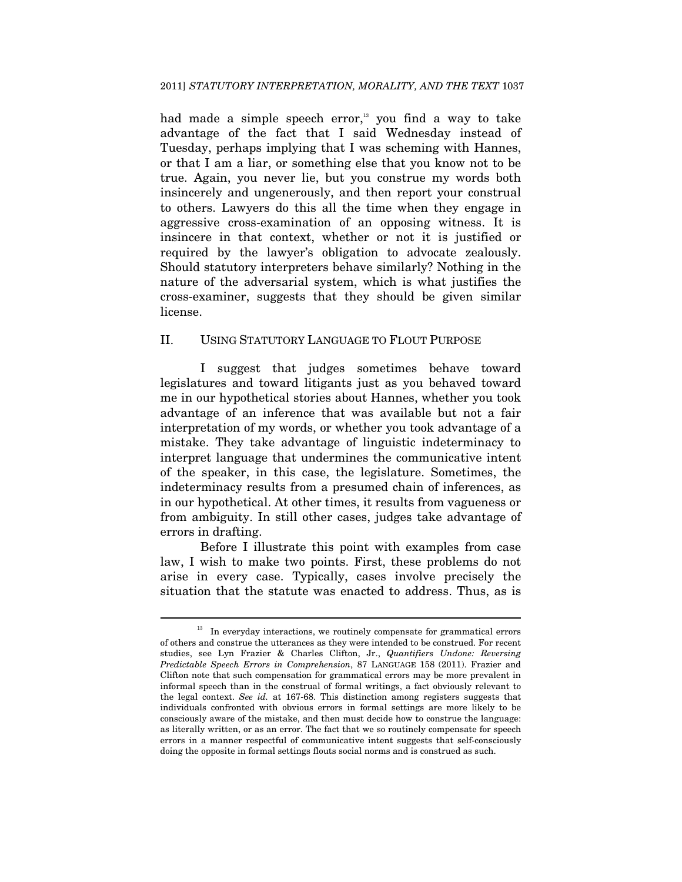had made a simple speech error, $13$  you find a way to take advantage of the fact that I said Wednesday instead of Tuesday, perhaps implying that I was scheming with Hannes, or that I am a liar, or something else that you know not to be true. Again, you never lie, but you construe my words both insincerely and ungenerously, and then report your construal to others. Lawyers do this all the time when they engage in aggressive cross-examination of an opposing witness. It is insincere in that context, whether or not it is justified or required by the lawyer's obligation to advocate zealously. Should statutory interpreters behave similarly? Nothing in the nature of the adversarial system, which is what justifies the cross-examiner, suggests that they should be given similar license.

#### II. USING STATUTORY LANGUAGE TO FLOUT PURPOSE

I suggest that judges sometimes behave toward legislatures and toward litigants just as you behaved toward me in our hypothetical stories about Hannes, whether you took advantage of an inference that was available but not a fair interpretation of my words, or whether you took advantage of a mistake. They take advantage of linguistic indeterminacy to interpret language that undermines the communicative intent of the speaker, in this case, the legislature. Sometimes, the indeterminacy results from a presumed chain of inferences, as in our hypothetical. At other times, it results from vagueness or from ambiguity. In still other cases, judges take advantage of errors in drafting.

Before I illustrate this point with examples from case law, I wish to make two points. First, these problems do not arise in every case. Typically, cases involve precisely the situation that the statute was enacted to address. Thus, as is

 $13$  In everyday interactions, we routinely compensate for grammatical errors of others and construe the utterances as they were intended to be construed. For recent studies, see Lyn Frazier & Charles Clifton, Jr., *Quantifiers Undone: Reversing Predictable Speech Errors in Comprehension*, 87 LANGUAGE 158 (2011). Frazier and Clifton note that such compensation for grammatical errors may be more prevalent in informal speech than in the construal of formal writings, a fact obviously relevant to the legal context. *See id.* at 167-68. This distinction among registers suggests that individuals confronted with obvious errors in formal settings are more likely to be consciously aware of the mistake, and then must decide how to construe the language: as literally written, or as an error. The fact that we so routinely compensate for speech errors in a manner respectful of communicative intent suggests that self-consciously doing the opposite in formal settings flouts social norms and is construed as such.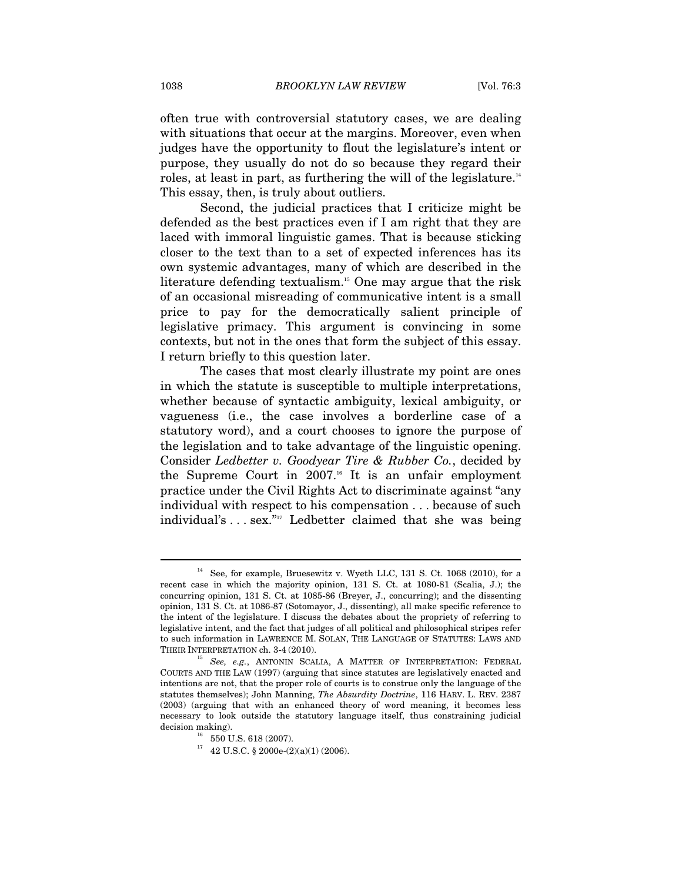often true with controversial statutory cases, we are dealing with situations that occur at the margins. Moreover, even when judges have the opportunity to flout the legislature's intent or purpose, they usually do not do so because they regard their roles, at least in part, as furthering the will of the legislature.<sup>14</sup> This essay, then, is truly about outliers.

Second, the judicial practices that I criticize might be defended as the best practices even if I am right that they are laced with immoral linguistic games. That is because sticking closer to the text than to a set of expected inferences has its own systemic advantages, many of which are described in the literature defending textualism.<sup>15</sup> One may argue that the risk of an occasional misreading of communicative intent is a small price to pay for the democratically salient principle of legislative primacy. This argument is convincing in some contexts, but not in the ones that form the subject of this essay. I return briefly to this question later.

The cases that most clearly illustrate my point are ones in which the statute is susceptible to multiple interpretations, whether because of syntactic ambiguity, lexical ambiguity, or vagueness (i.e., the case involves a borderline case of a statutory word), and a court chooses to ignore the purpose of the legislation and to take advantage of the linguistic opening. Consider *Ledbetter v. Goodyear Tire & Rubber Co.*, decided by the Supreme Court in  $2007$ .<sup>16</sup> It is an unfair employment practice under the Civil Rights Act to discriminate against "any individual with respect to his compensation . . . because of such individual's . . . sex."<sup>17</sup> Ledbetter claimed that she was being

See, for example, Bruesewitz v. Wyeth LLC, 131 S. Ct. 1068 (2010), for a recent case in which the majority opinion, 131 S. Ct. at 1080-81 (Scalia, J.); the concurring opinion, 131 S. Ct. at 1085-86 (Breyer, J., concurring); and the dissenting opinion, 131 S. Ct. at 1086-87 (Sotomayor, J., dissenting), all make specific reference to the intent of the legislature. I discuss the debates about the propriety of referring to legislative intent, and the fact that judges of all political and philosophical stripes refer to such information in LAWRENCE M. SOLAN, THE LANGUAGE OF STATUTES: LAWS AND

THEIR INTERPRETATION ch. 3-4 (2010).<br><sup>15</sup> *See, e.g.*, ANTONIN SCALIA, A MATTER OF INTERPRETATION: FEDERAL COURTS AND THE LAW (1997) (arguing that since statutes are legislatively enacted and intentions are not, that the proper role of courts is to construe only the language of the statutes themselves); John Manning, *The Absurdity Doctrine*, 116 HARV. L. REV. 2387 (2003) (arguing that with an enhanced theory of word meaning, it becomes less necessary to look outside the statutory language itself, thus constraining judicial

 $^{16}\;$  550 U.S. 618 (2007).

 $^{17}$   $\,$  42 U.S.C. § 2000e-(2)(a)(1) (2006).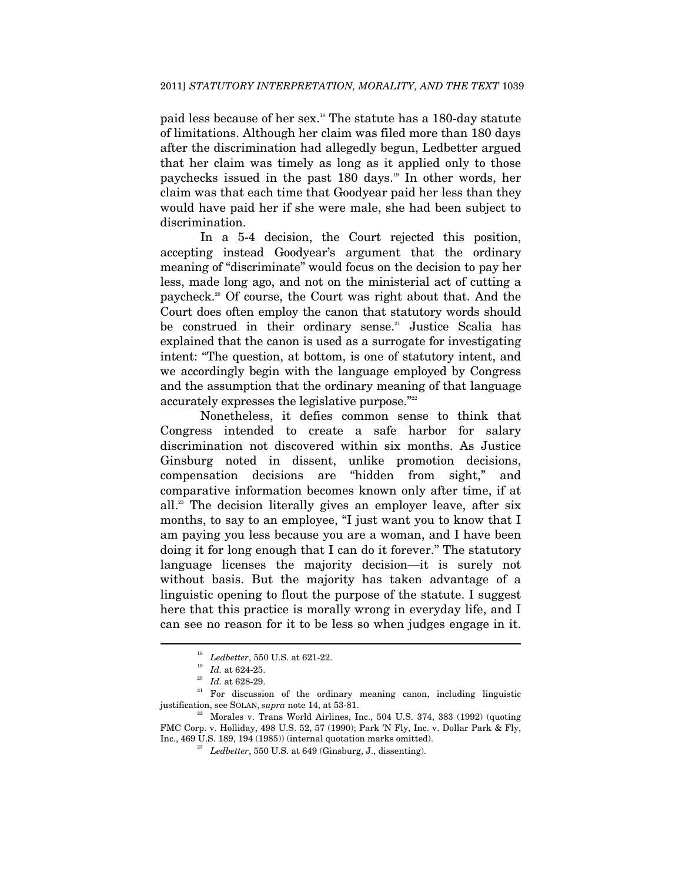paid less because of her sex.18 The statute has a 180-day statute of limitations. Although her claim was filed more than 180 days after the discrimination had allegedly begun, Ledbetter argued that her claim was timely as long as it applied only to those paychecks issued in the past 180 days.<sup>19</sup> In other words, her claim was that each time that Goodyear paid her less than they would have paid her if she were male, she had been subject to discrimination.

In a 5-4 decision, the Court rejected this position, accepting instead Goodyear's argument that the ordinary meaning of "discriminate" would focus on the decision to pay her less, made long ago, and not on the ministerial act of cutting a paycheck.20 Of course, the Court was right about that. And the Court does often employ the canon that statutory words should be construed in their ordinary sense.<sup>21</sup> Justice Scalia has explained that the canon is used as a surrogate for investigating intent: "The question, at bottom, is one of statutory intent, and we accordingly begin with the language employed by Congress and the assumption that the ordinary meaning of that language accurately expresses the legislative purpose."<sup>222</sup>

Nonetheless, it defies common sense to think that Congress intended to create a safe harbor for salary discrimination not discovered within six months. As Justice Ginsburg noted in dissent, unlike promotion decisions, compensation decisions are "hidden from sight," and comparative information becomes known only after time, if at all.23 The decision literally gives an employer leave, after six months, to say to an employee, "I just want you to know that I am paying you less because you are a woman, and I have been doing it for long enough that I can do it forever." The statutory language licenses the majority decision—it is surely not without basis. But the majority has taken advantage of a linguistic opening to flout the purpose of the statute. I suggest here that this practice is morally wrong in everyday life, and I can see no reason for it to be less so when judges engage in it.

<sup>&</sup>lt;sup>18</sup> *Ledbetter*, 550 U.S. at 621-22.<br><sup>20</sup> *Id.* at 624-25.<br><sup>20</sup> *Id.* at 628-29.<br><sup>21</sup> For discussion of the ordinary meaning canon, including linguistic justification, see SOLAN, *supra* note 14, at 53-81. 22 Morales v. Trans World Airlines, Inc., 504 U.S. 374, 383 (1992) (quoting

FMC Corp. v. Holliday, 498 U.S. 52, 57 (1990); Park 'N Fly, Inc. v. Dollar Park & Fly, Inc., 469 U.S. 189, 194 (1985)) (internal quotation marks omitted). 23 *Ledbetter*, 550 U.S. at 649 (Ginsburg, J., dissenting).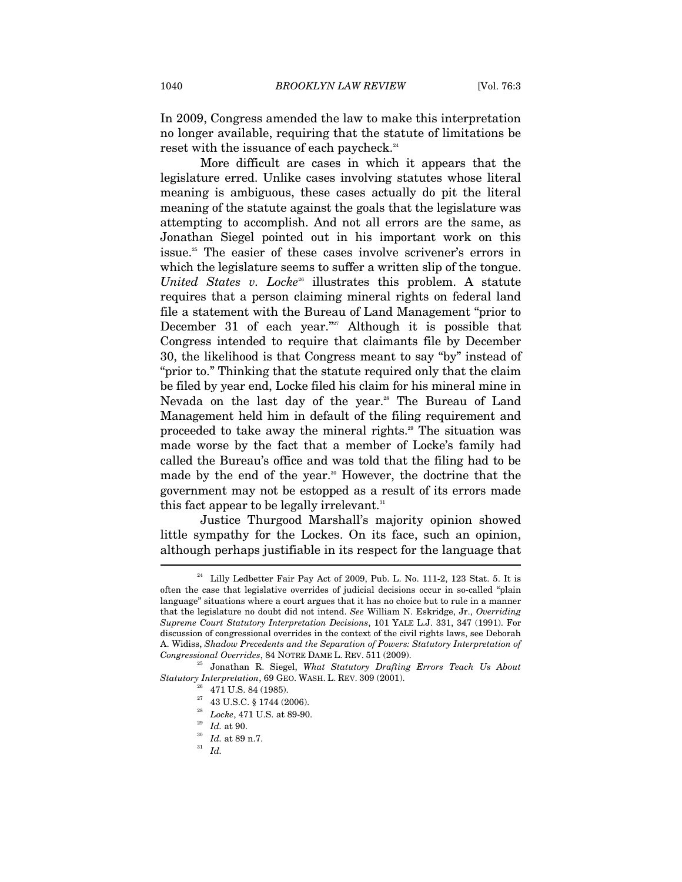In 2009, Congress amended the law to make this interpretation no longer available, requiring that the statute of limitations be reset with the issuance of each paycheck.<sup>24</sup>

More difficult are cases in which it appears that the legislature erred. Unlike cases involving statutes whose literal meaning is ambiguous, these cases actually do pit the literal meaning of the statute against the goals that the legislature was attempting to accomplish. And not all errors are the same, as Jonathan Siegel pointed out in his important work on this issue.25 The easier of these cases involve scrivener's errors in which the legislature seems to suffer a written slip of the tongue. *United States v. Locke<sup>26</sup>* illustrates this problem. A statute requires that a person claiming mineral rights on federal land file a statement with the Bureau of Land Management "prior to December 31 of each year."<sup>27</sup> Although it is possible that Congress intended to require that claimants file by December 30, the likelihood is that Congress meant to say "by" instead of "prior to." Thinking that the statute required only that the claim be filed by year end, Locke filed his claim for his mineral mine in Nevada on the last day of the year.<sup>28</sup> The Bureau of Land Management held him in default of the filing requirement and proceeded to take away the mineral rights.29 The situation was made worse by the fact that a member of Locke's family had called the Bureau's office and was told that the filing had to be made by the end of the year.<sup>30</sup> However, the doctrine that the government may not be estopped as a result of its errors made this fact appear to be legally irrelevant. $31$ 

Justice Thurgood Marshall's majority opinion showed little sympathy for the Lockes. On its face, such an opinion, although perhaps justifiable in its respect for the language that  $\overline{\phantom{a}}$ 

 $24$  Lilly Ledbetter Fair Pay Act of 2009, Pub. L. No. 111-2, 123 Stat. 5. It is often the case that legislative overrides of judicial decisions occur in so-called "plain language" situations where a court argues that it has no choice but to rule in a manner that the legislature no doubt did not intend. *See* William N. Eskridge, Jr., *Overriding Supreme Court Statutory Interpretation Decisions*, 101 YALE L.J. 331, 347 (1991). For discussion of congressional overrides in the context of the civil rights laws, see Deborah A. Widiss, *Shadow Precedents and the Separation of Powers: Statutory Interpretation of* 

*Congressional Overrides*, 84 NOTRE DAME L. REV. 511 (2009). 25 Jonathan R. Siegel, *What Statutory Drafting Errors Teach Us About Statutory Interpretation*, 69 GEO. WASH. L. REV. 309 (2001). 26 471 U.S. 84 (1985).

 $^{27}$  43 U.S.C.  $\S$  1744 (2006).

<sup>28</sup> *Locke*, 471 U.S. at 89-90. 29 *Id.* at 90. 30 *Id.* at 89 n.7. 31 *Id.*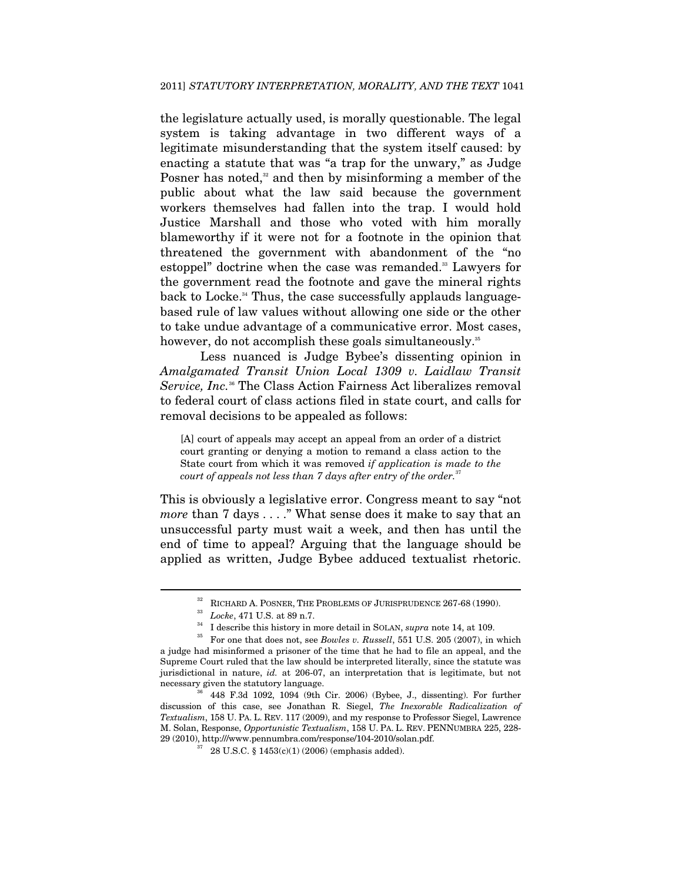the legislature actually used, is morally questionable. The legal system is taking advantage in two different ways of a legitimate misunderstanding that the system itself caused: by enacting a statute that was "a trap for the unwary," as Judge Posner has noted, $32$  and then by misinforming a member of the public about what the law said because the government workers themselves had fallen into the trap. I would hold Justice Marshall and those who voted with him morally blameworthy if it were not for a footnote in the opinion that threatened the government with abandonment of the "no estoppel" doctrine when the case was remanded.<sup>33</sup> Lawyers for the government read the footnote and gave the mineral rights back to Locke.<sup>34</sup> Thus, the case successfully applauds languagebased rule of law values without allowing one side or the other to take undue advantage of a communicative error. Most cases, however, do not accomplish these goals simultaneously.<sup>35</sup>

Less nuanced is Judge Bybee's dissenting opinion in *Amalgamated Transit Union Local 1309 v. Laidlaw Transit Service, Inc.*<sup>36</sup> The Class Action Fairness Act liberalizes removal to federal court of class actions filed in state court, and calls for removal decisions to be appealed as follows:

[A] court of appeals may accept an appeal from an order of a district court granting or denying a motion to remand a class action to the State court from which it was removed *if application is made to the court of appeals not less than 7 days after entry of the order.*<sup>37</sup>

This is obviously a legislative error. Congress meant to say "not *more* than 7 days . . . ." What sense does it make to say that an unsuccessful party must wait a week, and then has until the end of time to appeal? Arguing that the language should be applied as written, Judge Bybee adduced textualist rhetoric.

<sup>&</sup>lt;sup>32</sup> RICHARD A. POSNER, THE PROBLEMS OF JURISPRUDENCE 267-68 (1990).<br><sup>33</sup> Locke, 471 U.S. at 89 n.7.<br><sup>34</sup> I describe this history in more detail in SOLAN, *supra* note 14, at 109.<br><sup>35</sup> For one that does not, see *Bowles v* a judge had misinformed a prisoner of the time that he had to file an appeal, and the Supreme Court ruled that the law should be interpreted literally, since the statute was jurisdictional in nature, *id.* at 206-07, an interpretation that is legitimate, but not necessary given the statutory language.<br><sup>36</sup> 448 F.3d 1092, 1094 (9th Cir. 2006) (Bybee, J., dissenting). For further

discussion of this case, see Jonathan R. Siegel, *The Inexorable Radicalization of Textualism*, 158 U. PA. L. REV. 117 (2009), and my response to Professor Siegel, Lawrence M. Solan, Response, *Opportunistic Textualism*, 158 U. PA. L. REV. PENNUMBRA 225, 228- 29 (2010), http:///www.pennumbra.com/response/104-2010/solan.pdf.<br> $37$  28 U.S.C. § 1453(c)(1) (2006) (emphasis added).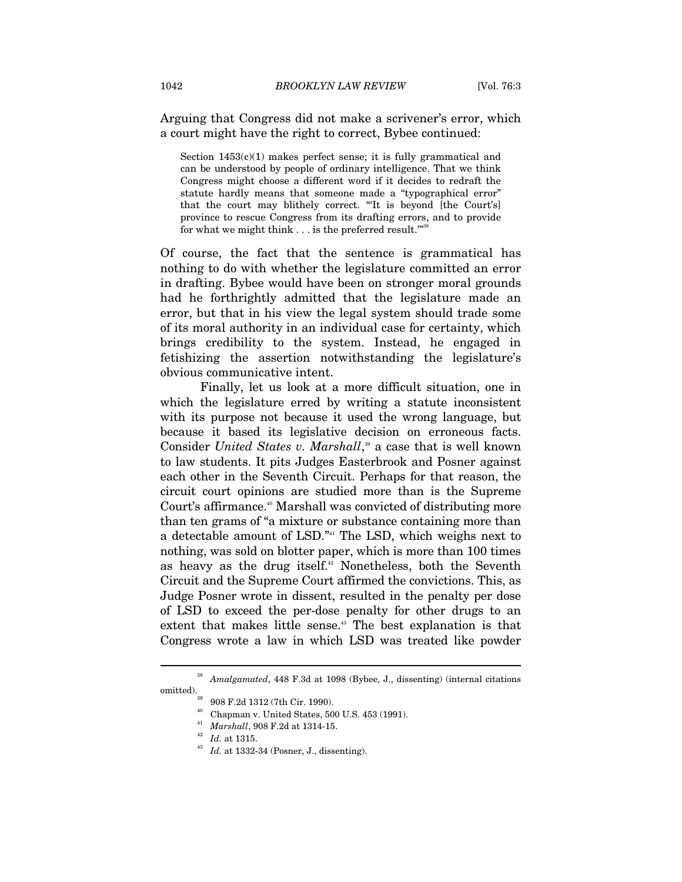Arguing that Congress did not make a scrivener's error, which a court might have the right to correct, Bybee continued:

Section  $1453(c)(1)$  makes perfect sense; it is fully grammatical and can be understood by people of ordinary intelligence. That we think Congress might choose a different word if it decides to redraft the statute hardly means that someone made a "typographical error" that the court may blithely correct. "'It is beyond [the Court's] province to rescue Congress from its drafting errors, and to provide for what we might think  $\ldots$  is the preferred result."

Of course, the fact that the sentence is grammatical has nothing to do with whether the legislature committed an error in drafting. Bybee would have been on stronger moral grounds had he forthrightly admitted that the legislature made an error, but that in his view the legal system should trade some of its moral authority in an individual case for certainty, which brings credibility to the system. Instead, he engaged in fetishizing the assertion notwithstanding the legislature's obvious communicative intent.

Finally, let us look at a more difficult situation, one in which the legislature erred by writing a statute inconsistent with its purpose not because it used the wrong language, but because it based its legislative decision on erroneous facts. Consider *United States v. Marshall*, 39 a case that is well known to law students. It pits Judges Easterbrook and Posner against each other in the Seventh Circuit. Perhaps for that reason, the circuit court opinions are studied more than is the Supreme Court's affirmance.<sup>40</sup> Marshall was convicted of distributing more than ten grams of "a mixture or substance containing more than a detectable amount of LSD."41 The LSD, which weighs next to nothing, was sold on blotter paper, which is more than 100 times as heavy as the drug itself.<sup>42</sup> Nonetheless, both the Seventh Circuit and the Supreme Court affirmed the convictions. This, as Judge Posner wrote in dissent, resulted in the penalty per dose of LSD to exceed the per-dose penalty for other drugs to an extent that makes little sense.<sup>43</sup> The best explanation is that Congress wrote a law in which LSD was treated like powder

 $\overline{a}$ 

<sup>41</sup> *Marshall*, 908 F.2d at 1314-15. 42 *Id.* at 1315. 43 *Id.* at 1332-34 (Posner, J., dissenting).

<sup>38</sup> *Amalgamated*, 448 F.3d at 1098 (Bybee, J., dissenting) (internal citations

omitted).<br><sup>39</sup> 908 F.2d 1312 (7th Cir. 1990).

<sup>40</sup> Chapman v. United States, 500 U.S. 453 (1991).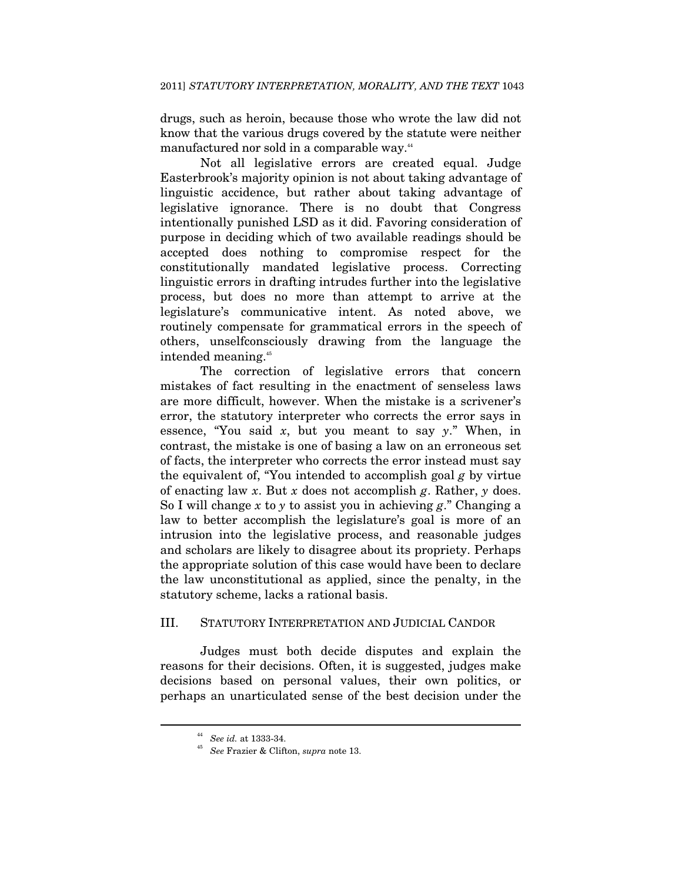drugs, such as heroin, because those who wrote the law did not know that the various drugs covered by the statute were neither manufactured nor sold in a comparable way.<sup>44</sup>

Not all legislative errors are created equal. Judge Easterbrook's majority opinion is not about taking advantage of linguistic accidence, but rather about taking advantage of legislative ignorance. There is no doubt that Congress intentionally punished LSD as it did. Favoring consideration of purpose in deciding which of two available readings should be accepted does nothing to compromise respect for the constitutionally mandated legislative process. Correcting linguistic errors in drafting intrudes further into the legislative process, but does no more than attempt to arrive at the legislature's communicative intent. As noted above, we routinely compensate for grammatical errors in the speech of others, unselfconsciously drawing from the language the intended meaning.45

The correction of legislative errors that concern mistakes of fact resulting in the enactment of senseless laws are more difficult, however. When the mistake is a scrivener's error, the statutory interpreter who corrects the error says in essence, "You said *x*, but you meant to say *y*." When, in contrast, the mistake is one of basing a law on an erroneous set of facts, the interpreter who corrects the error instead must say the equivalent of, "You intended to accomplish goal *g* by virtue of enacting law *x*. But *x* does not accomplish *g*. Rather, *y* does. So I will change *x* to *y* to assist you in achieving *g*." Changing a law to better accomplish the legislature's goal is more of an intrusion into the legislative process, and reasonable judges and scholars are likely to disagree about its propriety. Perhaps the appropriate solution of this case would have been to declare the law unconstitutional as applied, since the penalty, in the statutory scheme, lacks a rational basis.

#### III. STATUTORY INTERPRETATION AND JUDICIAL CANDOR

Judges must both decide disputes and explain the reasons for their decisions. Often, it is suggested, judges make decisions based on personal values, their own politics, or perhaps an unarticulated sense of the best decision under the

<sup>44</sup> *See id.* at 1333-34. 45 *See* Frazier & Clifton, *supra* note 13.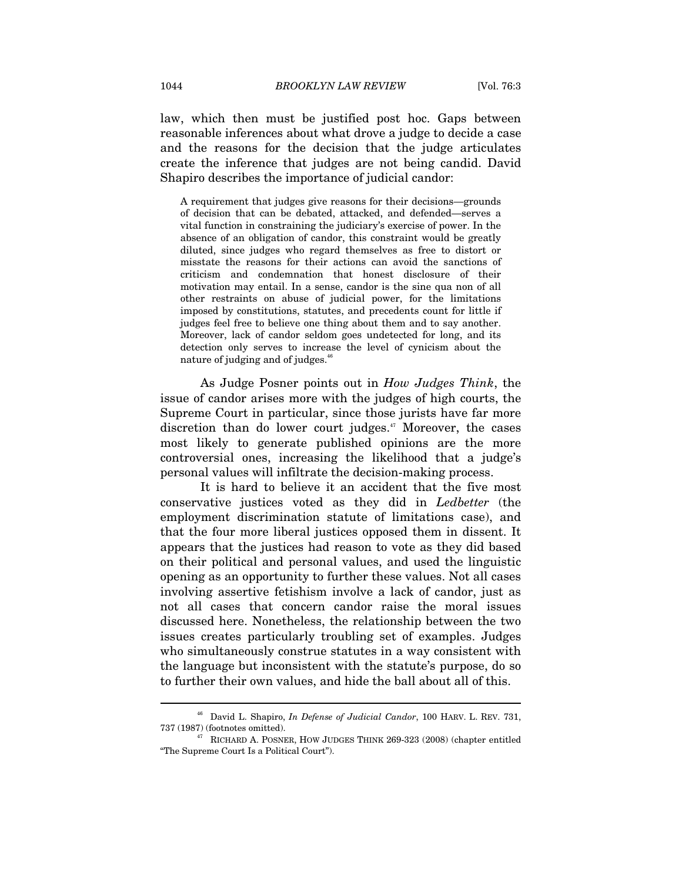law, which then must be justified post hoc. Gaps between reasonable inferences about what drove a judge to decide a case and the reasons for the decision that the judge articulates create the inference that judges are not being candid. David Shapiro describes the importance of judicial candor:

A requirement that judges give reasons for their decisions—grounds of decision that can be debated, attacked, and defended—serves a vital function in constraining the judiciary's exercise of power. In the absence of an obligation of candor, this constraint would be greatly diluted, since judges who regard themselves as free to distort or misstate the reasons for their actions can avoid the sanctions of criticism and condemnation that honest disclosure of their motivation may entail. In a sense, candor is the sine qua non of all other restraints on abuse of judicial power, for the limitations imposed by constitutions, statutes, and precedents count for little if judges feel free to believe one thing about them and to say another. Moreover, lack of candor seldom goes undetected for long, and its detection only serves to increase the level of cynicism about the nature of judging and of judges.<sup>46</sup>

As Judge Posner points out in *How Judges Think*, the issue of candor arises more with the judges of high courts, the Supreme Court in particular, since those jurists have far more discretion than do lower court judges.<sup>47</sup> Moreover, the cases most likely to generate published opinions are the more controversial ones, increasing the likelihood that a judge's personal values will infiltrate the decision-making process.

It is hard to believe it an accident that the five most conservative justices voted as they did in *Ledbetter* (the employment discrimination statute of limitations case), and that the four more liberal justices opposed them in dissent. It appears that the justices had reason to vote as they did based on their political and personal values, and used the linguistic opening as an opportunity to further these values. Not all cases involving assertive fetishism involve a lack of candor, just as not all cases that concern candor raise the moral issues discussed here. Nonetheless, the relationship between the two issues creates particularly troubling set of examples. Judges who simultaneously construe statutes in a way consistent with the language but inconsistent with the statute's purpose, do so to further their own values, and hide the ball about all of this.

 $^{46}\,$  David L. Shapiro,  $In$   $Defense$  of  $Judicial$   $Candor,$   $100$  HARV. L. REV. 731, 737 (1987) (footnotes omitted).

 $47$  RICHARD A. POSNER, HOW JUDGES THINK 269-323 (2008) (chapter entitled "The Supreme Court Is a Political Court").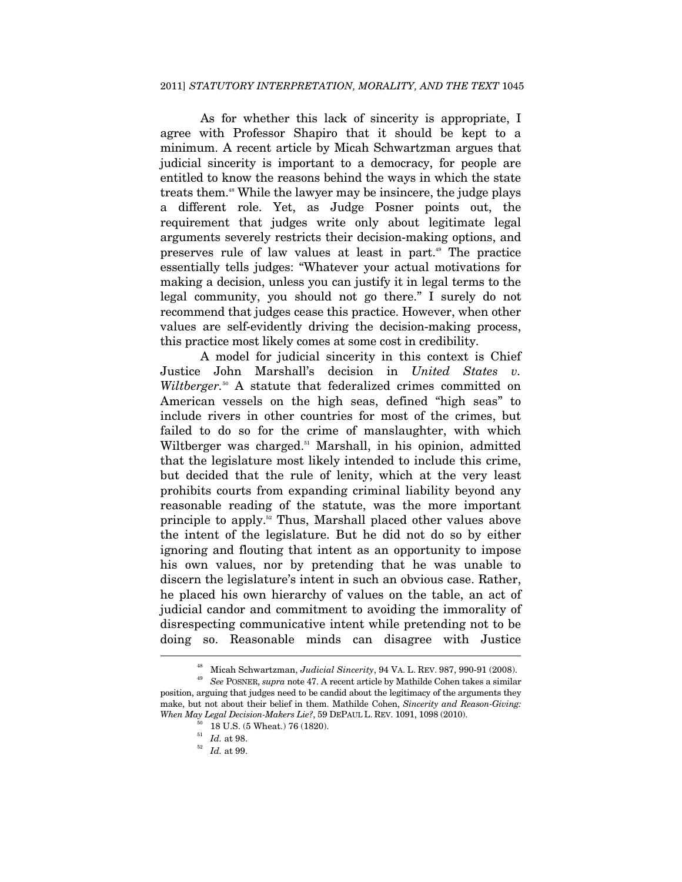As for whether this lack of sincerity is appropriate, I agree with Professor Shapiro that it should be kept to a minimum. A recent article by Micah Schwartzman argues that judicial sincerity is important to a democracy, for people are entitled to know the reasons behind the ways in which the state treats them.48 While the lawyer may be insincere, the judge plays a different role. Yet, as Judge Posner points out, the requirement that judges write only about legitimate legal arguments severely restricts their decision-making options, and preserves rule of law values at least in part.<sup>49</sup> The practice essentially tells judges: "Whatever your actual motivations for making a decision, unless you can justify it in legal terms to the legal community, you should not go there." I surely do not recommend that judges cease this practice. However, when other values are self-evidently driving the decision-making process, this practice most likely comes at some cost in credibility.

A model for judicial sincerity in this context is Chief Justice John Marshall's decision in *United States v.*  Wiltberger.<sup>50</sup> A statute that federalized crimes committed on American vessels on the high seas, defined "high seas" to include rivers in other countries for most of the crimes, but failed to do so for the crime of manslaughter, with which Wiltberger was charged.<sup>51</sup> Marshall, in his opinion, admitted that the legislature most likely intended to include this crime, but decided that the rule of lenity, which at the very least prohibits courts from expanding criminal liability beyond any reasonable reading of the statute, was the more important principle to apply.52 Thus, Marshall placed other values above the intent of the legislature. But he did not do so by either ignoring and flouting that intent as an opportunity to impose his own values, nor by pretending that he was unable to discern the legislature's intent in such an obvious case. Rather, he placed his own hierarchy of values on the table, an act of judicial candor and commitment to avoiding the immorality of disrespecting communicative intent while pretending not to be doing so. Reasonable minds can disagree with Justice  $\overline{a}$ 

<sup>48</sup> Micah Schwartzman, *Judicial Sincerity*, 94 VA. L. REV. 987, 990-91 (2008). 49 *See* POSNER, *supra* note 47. A recent article by Mathilde Cohen takes a similar

position, arguing that judges need to be candid about the legitimacy of the arguments they make, but not about their belief in them. Mathilde Cohen, *Sincerity and Reason-Giving: When May Legal Decision-Makers Lie?*, 59 DEPAUL L. REV. 1091, 1098 (2010).<br><sup>50</sup> 18 U.S. (5 Wheat.) 76 (1820).<br><sup>51</sup> Id. at 98.

<sup>51</sup> *Id.* at 98. 52 *Id.* at 99.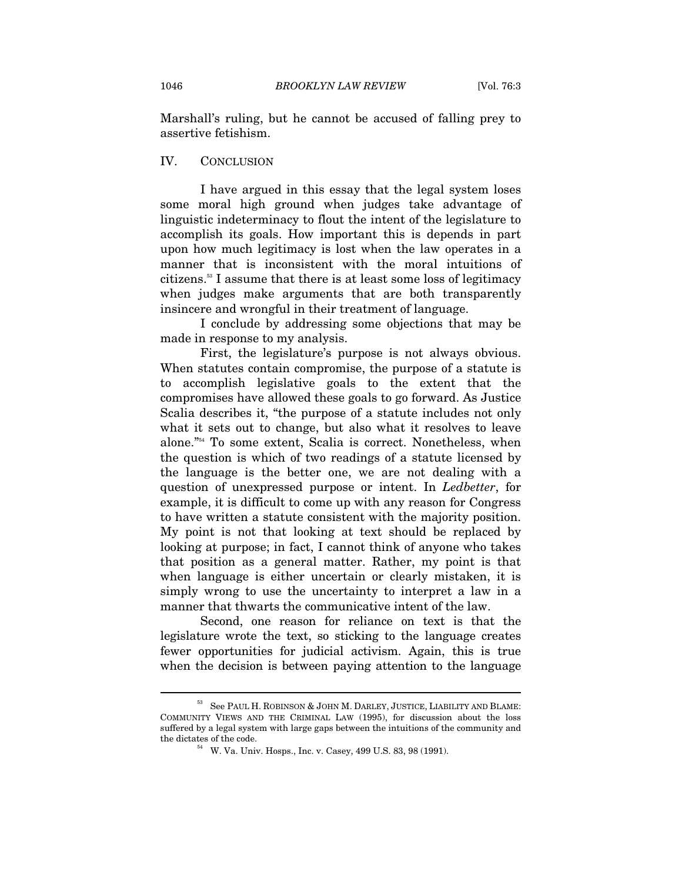Marshall's ruling, but he cannot be accused of falling prey to assertive fetishism.

#### IV. CONCLUSION

I have argued in this essay that the legal system loses some moral high ground when judges take advantage of linguistic indeterminacy to flout the intent of the legislature to accomplish its goals. How important this is depends in part upon how much legitimacy is lost when the law operates in a manner that is inconsistent with the moral intuitions of citizens.53 I assume that there is at least some loss of legitimacy when judges make arguments that are both transparently insincere and wrongful in their treatment of language.

I conclude by addressing some objections that may be made in response to my analysis.

First, the legislature's purpose is not always obvious. When statutes contain compromise, the purpose of a statute is to accomplish legislative goals to the extent that the compromises have allowed these goals to go forward. As Justice Scalia describes it, "the purpose of a statute includes not only what it sets out to change, but also what it resolves to leave alone."54 To some extent, Scalia is correct. Nonetheless, when the question is which of two readings of a statute licensed by the language is the better one, we are not dealing with a question of unexpressed purpose or intent. In *Ledbetter*, for example, it is difficult to come up with any reason for Congress to have written a statute consistent with the majority position. My point is not that looking at text should be replaced by looking at purpose; in fact, I cannot think of anyone who takes that position as a general matter. Rather, my point is that when language is either uncertain or clearly mistaken, it is simply wrong to use the uncertainty to interpret a law in a manner that thwarts the communicative intent of the law.

Second, one reason for reliance on text is that the legislature wrote the text, so sticking to the language creates fewer opportunities for judicial activism. Again, this is true when the decision is between paying attention to the language

 $^{53}$  See Paul H. ROBINSON & JOHN M. DARLEY, JUSTICE, LIABILITY AND BLAME: COMMUNITY VIEWS AND THE CRIMINAL LAW (1995), for discussion about the loss suffered by a legal system with large gaps between the intuitions of the community and the dictates of the code.<br> $^{54}$  W. Va. Univ. Hosps., Inc. v. Casey, 499 U.S. 83, 98 (1991).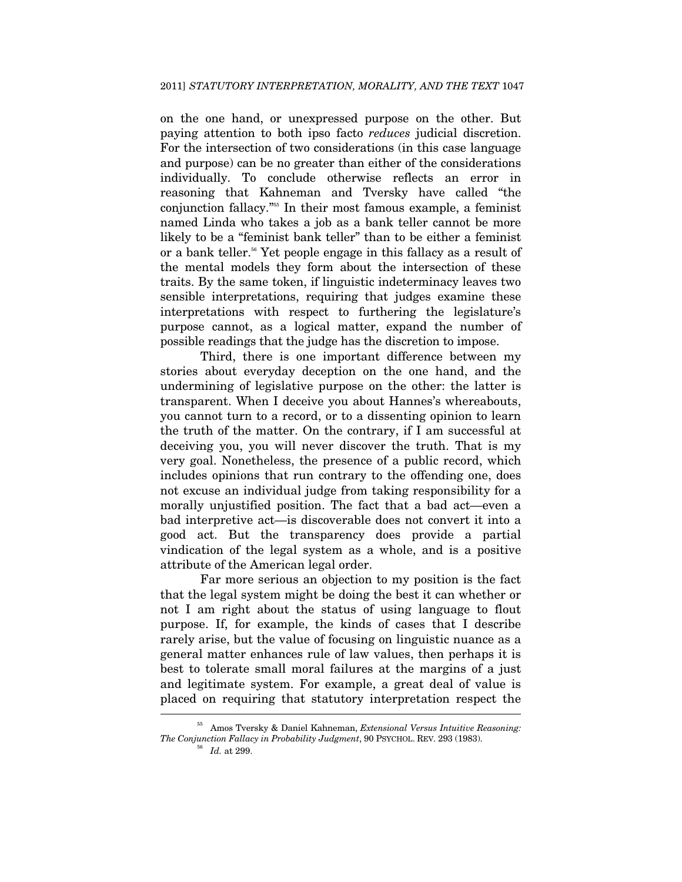on the one hand, or unexpressed purpose on the other. But paying attention to both ipso facto *reduces* judicial discretion. For the intersection of two considerations (in this case language and purpose) can be no greater than either of the considerations individually. To conclude otherwise reflects an error in reasoning that Kahneman and Tversky have called "the conjunction fallacy."55 In their most famous example, a feminist named Linda who takes a job as a bank teller cannot be more likely to be a "feminist bank teller" than to be either a feminist or a bank teller.<sup>56</sup> Yet people engage in this fallacy as a result of the mental models they form about the intersection of these traits. By the same token, if linguistic indeterminacy leaves two sensible interpretations, requiring that judges examine these interpretations with respect to furthering the legislature's purpose cannot, as a logical matter, expand the number of possible readings that the judge has the discretion to impose.

Third, there is one important difference between my stories about everyday deception on the one hand, and the undermining of legislative purpose on the other: the latter is transparent. When I deceive you about Hannes's whereabouts, you cannot turn to a record, or to a dissenting opinion to learn the truth of the matter. On the contrary, if I am successful at deceiving you, you will never discover the truth. That is my very goal. Nonetheless, the presence of a public record, which includes opinions that run contrary to the offending one, does not excuse an individual judge from taking responsibility for a morally unjustified position. The fact that a bad act—even a bad interpretive act—is discoverable does not convert it into a good act. But the transparency does provide a partial vindication of the legal system as a whole, and is a positive attribute of the American legal order.

Far more serious an objection to my position is the fact that the legal system might be doing the best it can whether or not I am right about the status of using language to flout purpose. If, for example, the kinds of cases that I describe rarely arise, but the value of focusing on linguistic nuance as a general matter enhances rule of law values, then perhaps it is best to tolerate small moral failures at the margins of a just and legitimate system. For example, a great deal of value is placed on requiring that statutory interpretation respect the ŗ

<sup>55</sup> Amos Tversky & Daniel Kahneman, *Extensional Versus Intuitive Reasoning: The Conjunction Fallacy in Probability Judgment*, 90 PSYCHOL. REV. 293 (1983). 56 *Id.* at 299.